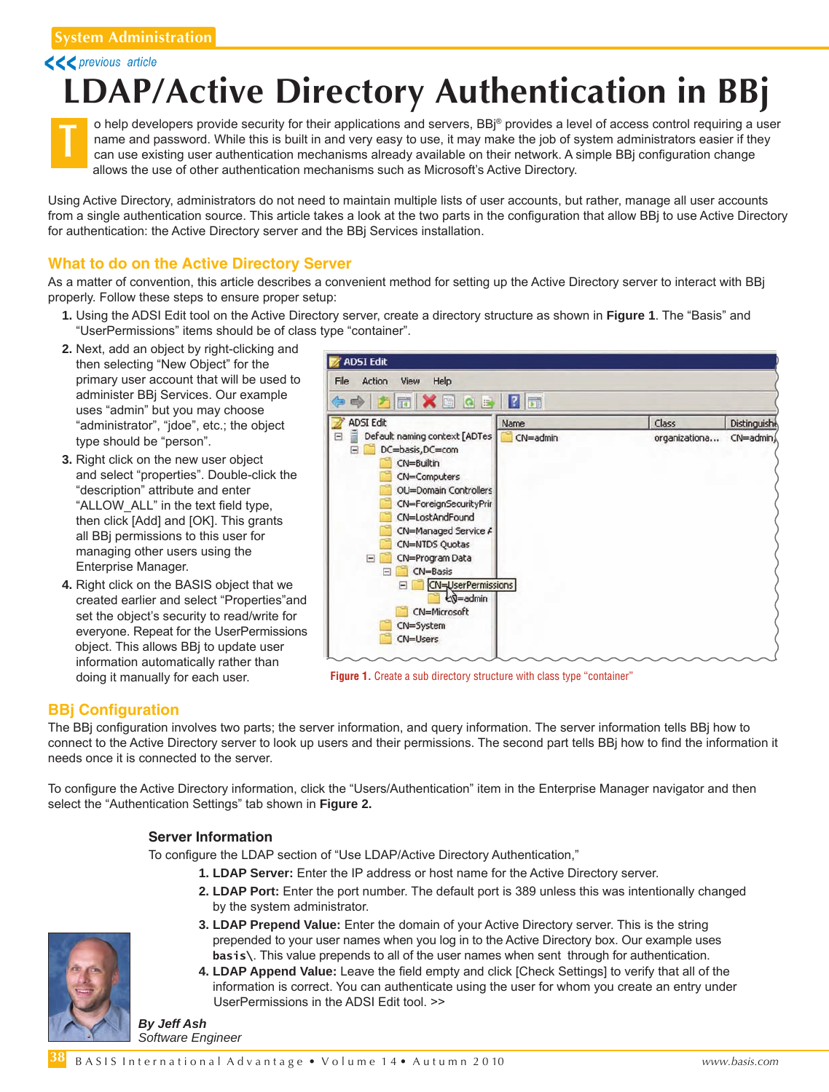<<< previous article

# **[LDAP/A](http://links.basis.com/dbwizard)ctive Directory Authentication in BBj**



o help developers provide security for their applications and servers, BBj® provides a level of access control requiring a user name and password. While this is built in and very easy to use, it may make the job of system administrators easier if they can use existing user authentication mechanisms already available on their network. A simple BBj configuration change allows the use of other authentication mechanisms such as Microsoft's Active Directory.

Using Active Directory, administrators do not need to maintain multiple lists of user accounts, but rather, manage all user accounts from a single authentication source. This article takes a look at the two parts in the configuration that allow BBj to use Active Directory for authentication: the Active Directory server and the BBj Services installation.

### **What to do on the Active Directory Server**

As a matter of convention, this article describes a convenient method for setting up the Active Directory server to interact with BBj properly. Follow these steps to ensure proper setup:

- **1.** Using the ADSI Edit tool on the Active Directory server, create a directory structure as shown in **Figure 1**. The "Basis" and "UserPermissions" items should be of class type "container".
- **2.** Next, add an object by right-clicking and then selecting "New Object" for the primary user account that will be used to administer BBj Services. Our example uses "admin" but you may choose "administrator", "jdoe", etc.; the object type should be "person".
- **3.** Right click on the new user object and select "properties". Double-click the "description" attribute and enter "ALLOW\_ALL" in the text field type, then click [Add] and [OK]. This grants all BBj permissions to this user for managing other users using the Enterprise Manager.
- **4.** Right click on the BASIS object that we created earlier and select "Properties"and set the object's security to read/write for everyone. Repeat for the UserPermissions object. This allows BBj to update user information automatically rather than doing it manually for each user.



**Figure 1.** Create a sub directory structure with class type "container"

## **BBj Configuration**

**38**

The BBj configuration involves two parts; the server information, and query information. The server information tells BBj how to connect to the Active Directory server to look up users and their permissions. The second part tells BBj how to find the information it needs once it is connected to the server.

To configure the Active Directory information, click the "Users/Authentication" item in the Enterprise Manager navigator and then select the "Authentication Settings" tab shown in **Figure 2.**

#### **Server Information**

To configure the LDAP section of "Use LDAP/Active Directory Authentication,"

- **1. LDAP Server:** Enter the IP address or host name for the Active Directory server.
- **2. LDAP Port:** Enter the port number. The default port is 389 unless this was intentionally changed by the system administrator.
- **3. LDAP Prepend Value:** Enter the domain of your Active Directory server. This is the string prepended to your user names when you log in to the Active Directory box. Our example uses  **basis\**. This value prepends to all of the user names when sent through for authentication.
- **4. LDAP Append Value:** Leave the field empty and click [Check Settings] to verify that all of the information is correct. You can authenticate using the user for whom you create an entry under UserPermissions in the ADSI Edit tool. >>

*Software Engineer*



B A S I S International Advantage • Volume 14 • Autumn 2010 **blue and the Contract of A** www.basis.com